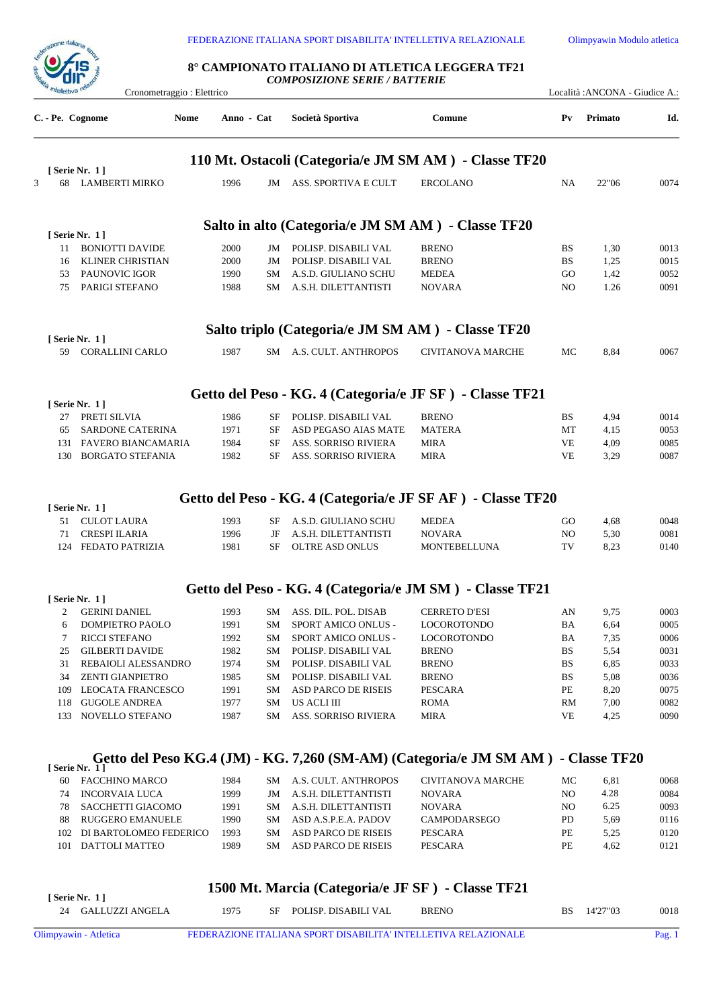



## **8° CAMPIONATO ITALIANO DI ATLETICA LEGGERA TF21** *COMPOSIZIONE SERIE / BATTERIE*

Cronometraggio : Elettrico Località :ANCONA - Giudice A.:

| C. - Pe. Cognome | Nome                                              | Anno - Cat   |          | Società Sportiva                                           | Comune                                                                            | P <sub>V</sub>         | Primato      | Id.          |
|------------------|---------------------------------------------------|--------------|----------|------------------------------------------------------------|-----------------------------------------------------------------------------------|------------------------|--------------|--------------|
|                  |                                                   |              |          |                                                            | 110 Mt. Ostacoli (Categoria/e JM SM AM) - Classe TF20                             |                        |              |              |
|                  | [Serie Nr. 1]                                     |              |          |                                                            |                                                                                   |                        |              |              |
| 3<br>68          | LAMBERTI MIRKO                                    | 1996         | JM       | ASS. SPORTIVA E CULT                                       | <b>ERCOLANO</b>                                                                   | NA                     | 22"06        | 0074         |
|                  |                                                   |              |          | Salto in alto (Categoria/e JM SM AM) - Classe TF20         |                                                                                   |                        |              |              |
|                  | [ Serie Nr. 1 ]                                   |              |          |                                                            |                                                                                   |                        |              |              |
| 11               | <b>BONIOTTI DAVIDE</b>                            | 2000         |          | JM POLISP. DISABILI VAL                                    | <b>BRENO</b>                                                                      | BS                     | 1,30         | 0013         |
| 16               | KLINER CHRISTIAN                                  | 2000         | JM       | POLISP. DISABILI VAL                                       | <b>BRENO</b>                                                                      | <b>BS</b>              | 1,25         | 0015         |
| 75               | 53 PAUNOVIC IGOR<br>PARIGI STEFANO                | 1990<br>1988 |          | SM A.S.D. GIULIANO SCHU<br>SM A.S.H. DILETTANTISTI         | <b>MEDEA</b><br><b>NOVARA</b>                                                     | GO<br>N <sub>O</sub>   | 1,42<br>1.26 | 0052<br>0091 |
|                  |                                                   |              |          |                                                            |                                                                                   |                        |              |              |
|                  | [ Serie Nr. 1 ]                                   |              |          | Salto triplo (Categoria/e JM SM AM) - Classe TF20          |                                                                                   |                        |              |              |
|                  | 59 CORALLINI CARLO                                | 1987         |          | SM A.S. CULT. ANTHROPOS                                    | <b>CIVITANOVA MARCHE</b>                                                          | MC                     | 8,84         | 0067         |
|                  |                                                   |              |          |                                                            | Getto del Peso - KG. 4 (Categoria/e JF SF) - Classe TF21                          |                        |              |              |
|                  | [ Serie Nr. 1 ]                                   |              |          |                                                            |                                                                                   |                        |              |              |
|                  | 27 PRETI SILVIA                                   | 1986         | SF       | POLISP. DISABILI VAL                                       | <b>BRENO</b>                                                                      | <b>BS</b>              | 4,94         | 0014         |
| 65               | <b>SARDONE CATERINA</b>                           | 1971         | SF       | ASD PEGASO AIAS MATE                                       | <b>MATERA</b>                                                                     | MT                     | 4,15         | 0053         |
| 130              | 131 FAVERO BIANCAMARIA<br><b>BORGATO STEFANIA</b> | 1984<br>1982 | SF<br>SF | <b>ASS. SORRISO RIVIERA</b><br><b>ASS. SORRISO RIVIERA</b> | <b>MIRA</b><br><b>MIRA</b>                                                        | <b>VE</b><br><b>VE</b> | 4,09<br>3,29 | 0085<br>0087 |
|                  | [Serie Nr. 1]                                     |              |          |                                                            | Getto del Peso - KG. 4 (Categoria/e JF SF AF) - Classe TF20                       |                        |              |              |
| 51               | CULOT LAURA                                       | 1993         | SF       | A.S.D. GIULIANO SCHU                                       | MEDEA                                                                             | GO                     | 4,68         | 0048         |
| 71               | <b>CRESPI ILARIA</b>                              | 1996         | JF       | A.S.H. DILETTANTISTI                                       | <b>NOVARA</b>                                                                     | N <sub>O</sub>         | 5,30         | 0081         |
|                  | 124 FEDATO PATRIZIA                               | 1981         | SF       | OLTRE ASD ONLUS                                            | MONTEBELLUNA                                                                      | TV                     | 8,23         | 0140         |
|                  |                                                   |              |          |                                                            | Getto del Peso - KG. 4 (Categoria/e JM SM) - Classe TF21                          |                        |              |              |
|                  | [ Serie Nr. 1 ]                                   |              |          |                                                            |                                                                                   |                        |              |              |
| 2                | <b>GERINI DANIEL</b>                              | 1993         | SМ       | ASS. DIL. POL. DISAB                                       | <b>CERRETO D'ESI</b>                                                              | AN                     | 9,75         | 0003         |
| 6                | DOMPIETRO PAOLO                                   | 1991         | SM       | SPORT AMICO ONLUS -                                        | <b>LOCOROTONDO</b>                                                                | BA                     | 6,64         | 0005         |
| $7^{\circ}$      | RICCI STEFANO                                     | 1992         | SM       | SPORT AMICO ONLUS -                                        | ${\tt LOCOROTONDO}$                                                               | BA                     | 7,35         | 0006         |
|                  | 25 GILBERTI DAVIDE                                | 1982         |          | SM POLISP. DISABILI VAL                                    | <b>BRENO</b>                                                                      | BS                     | 5,54         | 0031         |
| 31               | REBAIOLI ALESSANDRO                               | 1974         | SM       | POLISP. DISABILI VAL                                       | <b>BRENO</b>                                                                      | BS                     | 6,85         | 0033         |
| 34               | <b>ZENTI GIANPIETRO</b>                           | 1985         |          | SM POLISP. DISABILI VAL                                    | <b>BRENO</b>                                                                      | <b>BS</b>              | 5,08         | 0036         |
|                  | 109 LEOCATA FRANCESCO                             | 1991         | SM<br>SM | ASD PARCO DE RISEIS                                        | PESCARA                                                                           | PE                     | 8,20         | 0075         |
| 118              | GUGOLE ANDREA<br>133 NOVELLO STEFANO              | 1977<br>1987 | SM       | US ACLI III<br><b>ASS. SORRISO RIVIERA</b>                 | <b>ROMA</b><br><b>MIRA</b>                                                        | RM<br>VE               | 7,00<br>4,25 | 0082<br>0090 |
|                  |                                                   |              |          |                                                            |                                                                                   |                        |              |              |
|                  |                                                   |              |          |                                                            | Getto del Peso KG.4 (JM) - KG. 7,260 (SM-AM) (Categoria/e JM SM AM) - Classe TF20 |                        |              |              |
| 60               | [ Serie Nr. 1 ]<br><b>FACCHINO MARCO</b>          | 1984         |          | SM A.S. CULT. ANTHROPOS                                    | <b>CIVITANOVA MARCHE</b>                                                          | МC                     | 6,81         | 0068         |
| 74               | <b>INCORVAIA LUCA</b>                             | 1999         | JM       | A.S.H. DILETTANTISTI                                       | <b>NOVARA</b>                                                                     | NO.                    | 4.28         | 0084         |
| 78               | SACCHETTI GIACOMO                                 | 1991         | SM       | A.S.H. DILETTANTISTI                                       | <b>NOVARA</b>                                                                     | NO                     | 6.25         | 0093         |
| 88               | <b>RUGGERO EMANUELE</b>                           | 1990         |          | SM ASD A.S.P.E.A. PADOV                                    | CAMPODARSEGO                                                                      | PD                     | 5,69         | 0116         |
| 102              | DI BARTOLOMEO FEDERICO                            | 1993         |          | SM ASD PARCO DE RISEIS                                     | PESCARA                                                                           | PE                     | 5,25         | 0120         |

|  | 1500 Mt. Marcia (Categoria/e JF SF) - Classe TF21 |  |
|--|---------------------------------------------------|--|
|--|---------------------------------------------------|--|

DATTOLI MATTEO 1989 SM ASD PARCO DE RISEIS PESCARA PE 4,62 0121

| <sup>1</sup> Serie Nr. 11 | $1300$ Mt. Martia (Categoria/C JP $3P$ ) • Classe TP21 |  |                         |              |  |             |      |
|---------------------------|--------------------------------------------------------|--|-------------------------|--------------|--|-------------|------|
| 24 GALLUZZI ANGELA        | 1975                                                   |  | SF POLISP. DISABILI VAL | <b>BRENO</b> |  | BS 14'27"03 | 0018 |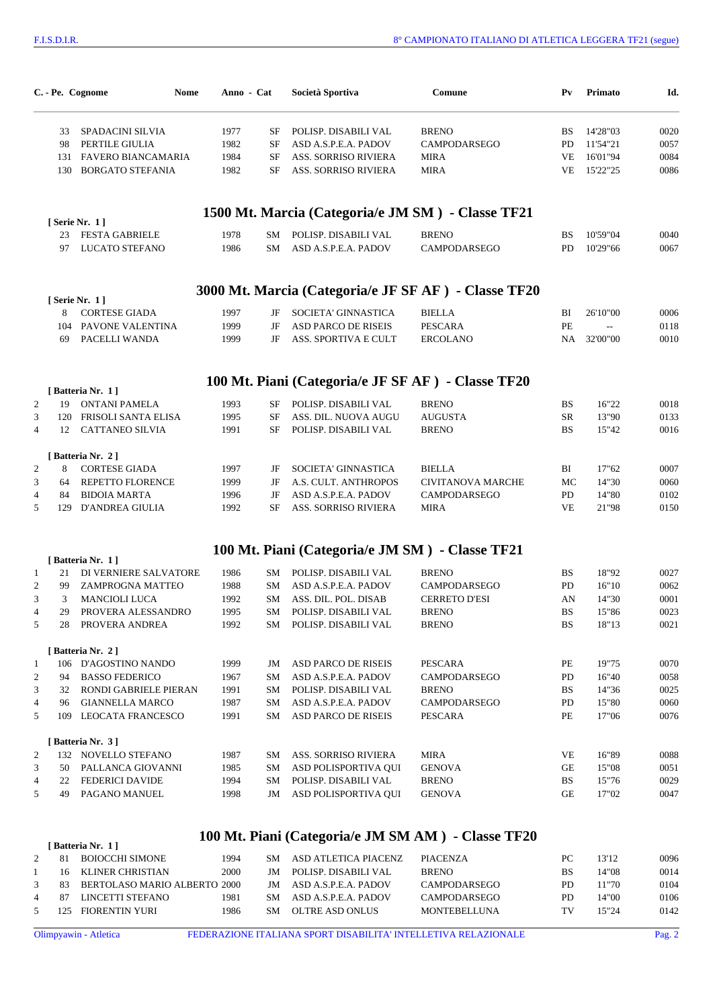|                      | C. - Pe. Cognome<br>Nome                   | Anno - Cat   |           | Società Sportiva                                    | Comune                                               | P <sub>V</sub> | Primato        | Id.          |
|----------------------|--------------------------------------------|--------------|-----------|-----------------------------------------------------|------------------------------------------------------|----------------|----------------|--------------|
| 33                   | SPADACINI SILVIA                           | 1977         | SF        | POLISP. DISABILI VAL                                | <b>BRENO</b>                                         | <b>BS</b>      | 14'28"03       | 0020         |
| 98                   | PERTILE GIULIA                             | 1982         | <b>SF</b> | ASD A.S.P.E.A. PADOV                                | CAMPODARSEGO                                         | PD             | 11'54"21       | 0057         |
| 131                  | FAVERO BIANCAMARIA                         | 1984         | <b>SF</b> | ASS. SORRISO RIVIERA                                | <b>MIRA</b>                                          | VE             | 16'01"94       | 0084         |
| 130                  | <b>BORGATO STEFANIA</b>                    | 1982         | SF        | <b>ASS. SORRISO RIVIERA</b>                         | <b>MIRA</b>                                          | VE             | 15'22"25       | 0086         |
|                      |                                            |              |           |                                                     | 1500 Mt. Marcia (Categoria/e JM SM) - Classe TF21    |                |                |              |
| 23                   | [ Serie Nr. 1 ]<br><b>FESTA GABRIELE</b>   | 1978         | SM        | POLISP. DISABILI VAL                                | <b>BRENO</b>                                         | <b>BS</b>      | 10'59"04       | 0040         |
| 97                   | LUCATO STEFANO                             | 1986         | SM        | ASD A.S.P.E.A. PADOV                                | <b>CAMPODARSEGO</b>                                  | PD             | 10'29"66       | 0067         |
|                      |                                            |              |           |                                                     | 3000 Mt. Marcia (Categoria/e JF SF AF) - Classe TF20 |                |                |              |
|                      | [ Serie Nr. 1]                             |              |           |                                                     |                                                      |                |                |              |
| 8                    | <b>CORTESE GIADA</b>                       | 1997         | JF        | SOCIETA' GINNASTICA                                 | <b>BIELLA</b>                                        | BI             | 26'10"00       | 0006         |
| 104                  | PAVONE VALENTINA                           | 1999         | JF        | <b>ASD PARCO DE RISEIS</b>                          | <b>PESCARA</b>                                       | PE             | $\overline{a}$ | 0118         |
| 69                   | PACELLI WANDA                              | 1999         | JF        | ASS. SPORTIVA E CULT                                | <b>ERCOLANO</b>                                      | <b>NA</b>      | 32'00"00       | 0010         |
|                      |                                            |              |           | 100 Mt. Piani (Categoria/e JF SF AF) - Classe TF20  |                                                      |                |                |              |
| $\overline{2}$<br>19 | [Batteria Nr. 1]<br><b>ONTANI PAMELA</b>   | 1993         | SF        | POLISP. DISABILI VAL                                | <b>BRENO</b>                                         | <b>BS</b>      | 16"22          | 0018         |
| 3<br>120             | FRISOLI SANTA ELISA                        | 1995         | SF        | ASS. DIL. NUOVA AUGU                                | <b>AUGUSTA</b>                                       | SR             | 13"90          | 0133         |
| 4                    | 12 CATTANEO SILVIA                         | 1991         | <b>SF</b> | POLISP. DISABILI VAL                                | <b>BRENO</b>                                         | <b>BS</b>      | 15"42          | 0016         |
|                      | [Batteria Nr. 2]                           |              |           |                                                     |                                                      |                |                |              |
| 2<br>8               | <b>CORTESE GIADA</b>                       | 1997         | JF        | SOCIETA' GINNASTICA                                 | <b>BIELLA</b>                                        | BI             | 17"62          | 0007         |
| 3<br>64              | REPETTO FLORENCE                           | 1999         | JF<br>JF  | A.S. CULT. ANTHROPOS                                | <b>CIVITANOVA MARCHE</b>                             | MC             | 14"30          | 0060         |
| 4<br>84<br>5         | <b>BIDOIA MARTA</b><br>129 D'ANDREA GIULIA | 1996<br>1992 | SF        | ASD A.S.P.E.A. PADOV<br><b>ASS. SORRISO RIVIERA</b> | CAMPODARSEGO<br><b>MIRA</b>                          | PD<br>VE       | 14"80<br>21"98 | 0102<br>0150 |
|                      |                                            |              |           | 100 Mt. Piani (Categoria/e JM SM) - Classe TF21     |                                                      |                |                |              |
|                      | [Batteria Nr. 1]                           |              |           |                                                     |                                                      |                |                |              |
| 21<br>$\mathbf{1}$   | DI VERNIERE SALVATORE                      | 1986         | SM        | POLISP. DISABILI VAL                                | <b>BRENO</b>                                         | <b>BS</b>      | 18"92          | 0027         |
| 99<br>2              | ZAMPROGNA MATTEO                           | 1988         | SM        | ASD A.S.P.E.A. PADOV                                | <b>CAMPODARSEGO</b>                                  | PD             | 16"10          | 0062         |
| 3<br>3               | <b>MANCIOLI LUCA</b>                       | 1992         | SM        | ASS. DIL. POL. DISAB                                | <b>CERRETO D'ESI</b>                                 | AN             | 14"30          | 0001         |
| 29<br>4              | PROVERA ALESSANDRO                         | 1995         | SM        | POLISP. DISABILI VAL                                | <b>BRENO</b>                                         | <b>BS</b>      | 15"86          | 0023         |
| 5<br>28              | PROVERA ANDREA                             | 1992         |           | SM POLISP. DISABILI VAL                             | <b>BRENO</b>                                         | <b>BS</b>      | 18"13          | 0021         |
|                      | [Batteria Nr. 2]                           |              |           |                                                     |                                                      |                |                |              |
| 1                    | 106 D'AGOSTINO NANDO                       | 1999         | JM        | <b>ASD PARCO DE RISEIS</b>                          | <b>PESCARA</b>                                       | PE             | 19"75          | 0070         |
| 2<br>94              | <b>BASSO FEDERICO</b>                      | 1967         | SМ        | ASD A.S.P.E.A. PADOV                                | CAMPODARSEGO                                         | PD             | 16"40          | 0058         |
| 3<br>32              | RONDI GABRIELE PIERAN                      | 1991         | SМ        | POLISP. DISABILI VAL                                | <b>BRENO</b>                                         | BS             | 14"36          | 0025         |
| 4<br>96              | <b>GIANNELLA MARCO</b>                     | 1987         | SΜ        | ASD A.S.P.E.A. PADOV                                | CAMPODARSEGO                                         | PD             | 15"80          | 0060         |
| 5                    | 109 LEOCATA FRANCESCO                      | 1991         | SM        | ASD PARCO DE RISEIS                                 | PESCARA                                              | PE             | 17"06          | 0076         |
|                      | [Batteria Nr. 3]                           |              |           |                                                     |                                                      |                |                |              |
| 2<br>132             | NOVELLO STEFANO                            | 1987         | SM        | <b>ASS. SORRISO RIVIERA</b>                         | <b>MIRA</b>                                          | VE             | 16"89          | 0088         |
| 3<br>50              | PALLANCA GIOVANNI                          | 1985         | SM        | ASD POLISPORTIVA QUI                                | <b>GENOVA</b>                                        | GE             | 15"08          | 0051         |
|                      | <b>FEDERICI DAVIDE</b>                     | 1994         | SM        | POLISP. DISABILI VAL                                | <b>BRENO</b>                                         | BS             | 15"76          | 0029         |
| 4<br>22<br>5<br>49   | PAGANO MANUEL                              | 1998         | JM        | ASD POLISPORTIVA QUI                                | <b>GENOVA</b>                                        | GE             | 17"02          | 0047         |

## **Mt. Piani (Categoria/e JM SM AM ) - Classe TF20**

|                | 81  | BOIOCCHI SIMONE              | 1994 | SМ        | ASD ATLETICA PIACENZ | PIACENZA            | PС | 13'12 | 0096 |
|----------------|-----|------------------------------|------|-----------|----------------------|---------------------|----|-------|------|
|                | 16. | KLINER CHRISTIAN             | 2000 | <b>IM</b> | POLISP. DISABILI VAL | <b>BRENO</b>        | BS | 14"08 | 0014 |
|                | 83  | BERTOLASO MARIO ALBERTO 2000 |      | <b>IM</b> | ASD A.S.P.E.A. PADOV | <b>CAMPODARSEGO</b> | PD | 11"70 | 0104 |
| $\overline{4}$ |     | LINCETTI STEFANO             | 1981 | SМ        | ASD A.S.P.E.A. PADOV | <b>CAMPODARSEGO</b> | PD | 14"00 | 0106 |
|                |     | 125 FIORENTIN YURI           | 1986 | SМ        | OLTRE ASD ONLUS      | <b>MONTEBELLUNA</b> | тv | 15"24 | 0142 |
|                |     |                              |      |           |                      |                     |    |       |      |

**[ Batteria Nr. 1 ]**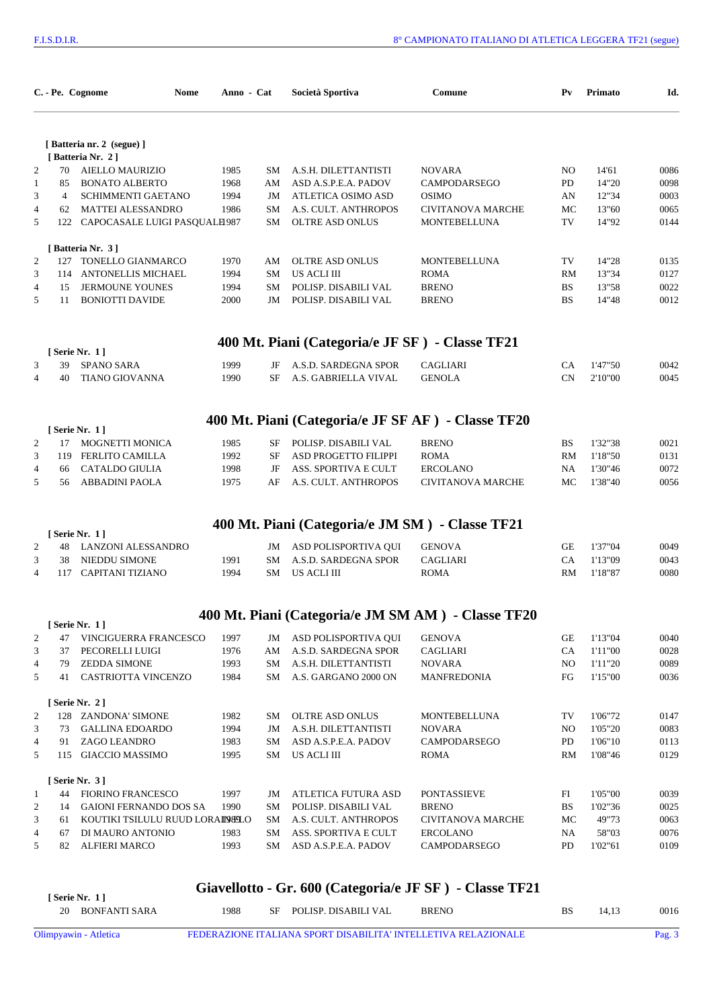|                |                | C. - Pe. Cognome<br>Nome                                  | Anno - Cat   |           | Società Sportiva                                   | Comune                                             | $P_{V}$   | Primato            | Id.          |
|----------------|----------------|-----------------------------------------------------------|--------------|-----------|----------------------------------------------------|----------------------------------------------------|-----------|--------------------|--------------|
|                |                | [Batteria nr. 2 (segue)]                                  |              |           |                                                    |                                                    |           |                    |              |
|                |                | [Batteria Nr. 2]                                          |              |           |                                                    |                                                    |           |                    |              |
| $\overline{c}$ | 70             | AIELLO MAURIZIO                                           | 1985         | SM        | A.S.H. DILETTANTISTI                               | <b>NOVARA</b>                                      | NO.       | 14'61              | 0086         |
| $\mathbf{1}$   | 85             | <b>BONATO ALBERTO</b>                                     | 1968         | AM        | ASD A.S.P.E.A. PADOV                               | CAMPODARSEGO                                       | PD        | 14"20              | 0098         |
| 3              | $\overline{4}$ | SCHIMMENTI GAETANO                                        | 1994         | JM        | ATLETICA OSIMO ASD                                 | <b>OSIMO</b>                                       | AN        | 12"34              | 0003         |
| 4<br>5         |                | 62 MATTEI ALESSANDRO<br>122 CAPOCASALE LUIGI PASQUALE 987 | 1986         | SM<br>SM  | A.S. CULT. ANTHROPOS<br><b>OLTRE ASD ONLUS</b>     | <b>CIVITANOVA MARCHE</b><br>MONTEBELLUNA           | МC<br>TV  | 13"60<br>14"92     | 0065<br>0144 |
|                |                |                                                           |              |           |                                                    |                                                    |           |                    |              |
|                |                | [Batteria Nr. 3]                                          |              |           |                                                    |                                                    |           |                    |              |
| 2              |                | 127 TONELLO GIANMARCO                                     | 1970         | AM        | OLTRE ASD ONLUS                                    | MONTEBELLUNA                                       | TV        | 14"28              | 0135         |
| 3              |                | 114 ANTONELLIS MICHAEL                                    | 1994         | SM        | US ACLI III                                        | <b>ROMA</b>                                        | RM        | 13"34              | 0127         |
| $\overline{4}$ | 15             | <b>JERMOUNE YOUNES</b>                                    | 1994         | SM        | POLISP. DISABILI VAL                               | <b>BRENO</b>                                       | <b>BS</b> | 13"58              | 0022         |
| 5              | 11             | <b>BONIOTTI DAVIDE</b>                                    | 2000         | JM        | POLISP. DISABILI VAL                               | <b>BRENO</b>                                       | BS        | 14"48              | 0012         |
|                |                |                                                           |              |           | 400 Mt. Piani (Categoria/e JF SF) - Classe TF21    |                                                    |           |                    |              |
|                |                | [ Serie Nr. 1 ]                                           |              |           |                                                    |                                                    |           |                    |              |
| 3              | 39             | <b>SPANO SARA</b>                                         | 1999         | JF        | A.S.D. SARDEGNA SPOR                               | <b>CAGLIARI</b>                                    | CA        | 1'47"50            | 0042         |
| $\overline{4}$ | 40             | <b>TIANO GIOVANNA</b>                                     | 1990         | SF        | A.S. GABRIELLA VIVAL                               | <b>GENOLA</b>                                      | CN        | 2'10"00            | 0045         |
|                |                |                                                           |              |           | 400 Mt. Piani (Categoria/e JF SF AF) - Classe TF20 |                                                    |           |                    |              |
|                |                | [Serie Nr. 1]                                             |              |           |                                                    |                                                    |           |                    |              |
| 2              | 17             | MOGNETTI MONICA                                           | 1985         | SF        | POLISP. DISABILI VAL                               | <b>BRENO</b>                                       | BS        | 1'32"38            | 0021         |
| 3              |                | 119 FERLITO CAMILLA                                       | 1992         | <b>SF</b> | ASD PROGETTO FILIPPI                               | <b>ROMA</b>                                        | RM        | 1'18"50            | 0131         |
| 4              | 66             | <b>CATALDO GIULIA</b>                                     | 1998         | JF        | ASS. SPORTIVA E CULT                               | <b>ERCOLANO</b>                                    | NA        | 1'30"46            | 0072         |
| 5              | 56             | <b>ABBADINI PAOLA</b>                                     | 1975         | AF        | A.S. CULT. ANTHROPOS                               | <b>CIVITANOVA MARCHE</b>                           | МC        | 1'38"40            | 0056         |
|                |                |                                                           |              |           | 400 Mt. Piani (Categoria/e JM SM) - Classe TF21    |                                                    |           |                    |              |
|                |                | [ Serie Nr. 1 ]                                           |              |           |                                                    |                                                    |           |                    |              |
| 2              | 48             | LANZONI ALESSANDRO                                        |              | JM        | ASD POLISPORTIVA QUI                               | <b>GENOVA</b>                                      | GE        | 1'37"04            | 0049         |
| 3              | 38<br>117      | NIEDDU SIMONE<br><b>CAPITANI TIZIANO</b>                  | 1991         | SM        | A.S.D. SARDEGNA SPOR<br>US ACLI III                | CAGLIARI                                           | CA        | 1'13"09            | 0043<br>0080 |
| $\overline{4}$ |                |                                                           | 1994         | SM        |                                                    | <b>ROMA</b>                                        | RM        | 1'18"87            |              |
|                |                |                                                           |              |           |                                                    | 400 Mt. Piani (Categoria/e JM SM AM) - Classe TF20 |           |                    |              |
|                |                | [ Serie Nr. 1 ]                                           |              |           |                                                    |                                                    |           |                    |              |
| 2              | 47             | VINCIGUERRA FRANCESCO                                     | 1997         | JM        | ASD POLISPORTIVA QUI                               | <b>GENOVA</b>                                      | GE        | 1'13"04            | 0040         |
| 3              | 37             | PECORELLI LUIGI                                           | 1976         | AM        | A.S.D. SARDEGNA SPOR                               | CAGLIARI                                           | CA        | 1'11"00            | 0028         |
| 4<br>5         | 79<br>41       | <b>ZEDDA SIMONE</b><br>CASTRIOTTA VINCENZO                | 1993<br>1984 | SM<br>SM  | A.S.H. DILETTANTISTI<br>A.S. GARGANO 2000 ON       | <b>NOVARA</b><br>MANFREDONIA                       | NO.<br>FG | 1'11"20<br>1'15"00 | 0089<br>0036 |
|                |                |                                                           |              |           |                                                    |                                                    |           |                    |              |
|                |                | [Serie Nr. 2]                                             |              |           |                                                    |                                                    |           |                    |              |
| $\overline{c}$ |                | 128 ZANDONA' SIMONE                                       | 1982         | SM        | OLTRE ASD ONLUS                                    | MONTEBELLUNA                                       | TV        | 1'06"72            | 0147         |
| 3              | 73             | <b>GALLINA EDOARDO</b>                                    | 1994         | JM        | A.S.H. DILETTANTISTI                               | <b>NOVARA</b>                                      | NO        | 1'05"20            | 0083         |
| 4              | 91             | ZAGO LEANDRO                                              | 1983         | SМ        | ASD A.S.P.E.A. PADOV                               | CAMPODARSEGO                                       | PD        | 1'06"10            | 0113         |
| 5              |                | 115 GIACCIO MASSIMO                                       | 1995         | SM        | US ACLI III                                        | <b>ROMA</b>                                        | RM        | 1'08"46            | 0129         |
|                |                | [ Serie Nr. $3$ ]                                         |              |           |                                                    |                                                    |           |                    |              |
| $\mathbf{1}$   | 44             | <b>FIORINO FRANCESCO</b>                                  | 1997         | JM        | ATLETICA FUTURA ASD                                | <b>PONTASSIEVE</b>                                 | FI        | 1'05"00            | 0039         |
| 2              | 14             | <b>GAIONI FERNANDO DOS SA</b>                             | 1990         | SМ        | POLISP. DISABILI VAL                               | <b>BRENO</b>                                       | BS        | 1'02"36            | 0025         |
| 3              | 61             | KOUTIKI TSILULU RUUD LORAIN SLO                           |              | SM        | A.S. CULT. ANTHROPOS                               | CIVITANOVA MARCHE                                  | MC        | 49"73              | 0063         |
| 4              | 67             | DI MAURO ANTONIO                                          | 1983         | SM        | ASS. SPORTIVA E CULT                               | <b>ERCOLANO</b>                                    | NA        | 58"03              | 0076         |
| 5              | 82             | <b>ALFIERI MARCO</b>                                      | 1993         | SM        | ASD A.S.P.E.A. PADOV                               | CAMPODARSEGO                                       | PD        | 1'02"61            | 0109         |

## **Giavellotto - Gr. 600 (Categoria/e JF SF ) - Classe TF21**

| <sup>r</sup> Serie Nr. 11 |      | $\frac{1}{2}$           |              |       |      |
|---------------------------|------|-------------------------|--------------|-------|------|
| 20 BONFANTI SARA          | 1988 | SF POLISP. DISABILI VAL | <b>BRENO</b> | 14.13 | 0016 |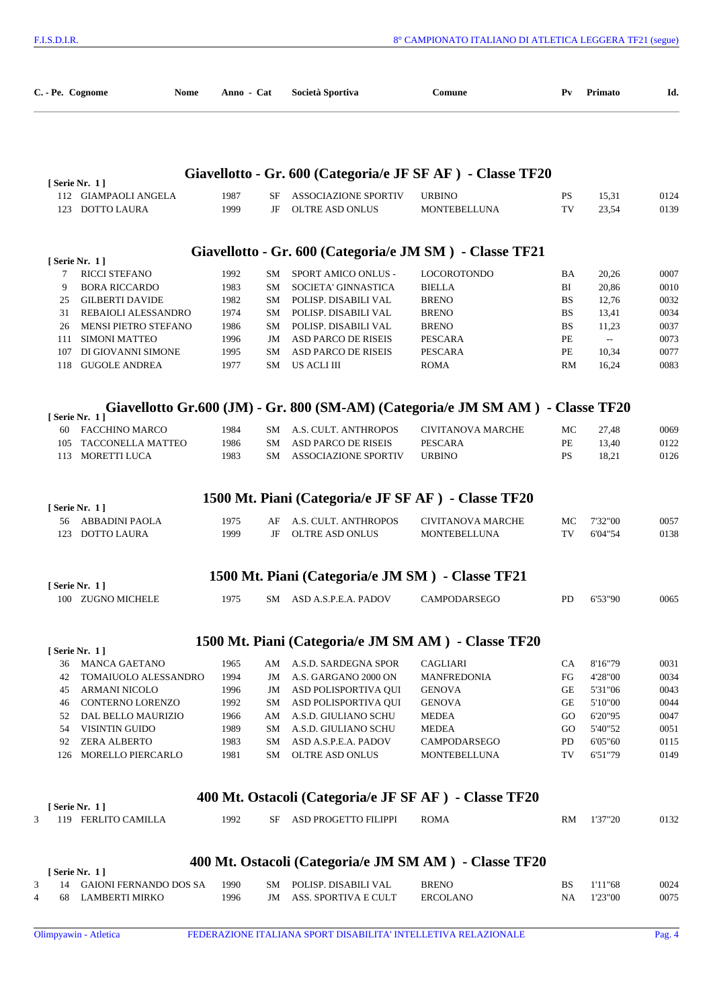| C. - Pe. Cognome | Nome                                           | Anno - Cat   |          | Società Sportiva                                      | Comune                                                                         | P <sub>V</sub>  | Primato        | Id.          |
|------------------|------------------------------------------------|--------------|----------|-------------------------------------------------------|--------------------------------------------------------------------------------|-----------------|----------------|--------------|
|                  |                                                |              |          |                                                       | Giavellotto - Gr. 600 (Categoria/e JF SF AF) - Classe TF20                     |                 |                |              |
|                  | [Serie Nr. 1]                                  |              |          |                                                       |                                                                                |                 |                |              |
|                  | 112 GIAMPAOLI ANGELA<br>123 DOTTO LAURA        | 1987<br>1999 | SF<br>JF | <b>ASSOCIAZIONE SPORTIV</b><br><b>OLTRE ASD ONLUS</b> | <b>URBINO</b><br><b>MONTEBELLUNA</b>                                           | <b>PS</b><br>TV | 15,31<br>23,54 | 0124<br>0139 |
|                  |                                                |              |          |                                                       | Giavellotto - Gr. 600 (Categoria/e JM SM) - Classe TF21                        |                 |                |              |
|                  | [ Serie Nr. 1 ]                                |              |          |                                                       |                                                                                |                 |                |              |
| 7                | RICCI STEFANO                                  | 1992         | SМ       | SPORT AMICO ONLUS -                                   | <b>LOCOROTONDO</b>                                                             | BA              | 20,26          | 0007         |
| 9<br>25          | <b>BORA RICCARDO</b><br><b>GILBERTI DAVIDE</b> | 1983<br>1982 | SМ<br>SM | SOCIETA' GINNASTICA<br>POLISP. DISABILI VAL           | <b>BIELLA</b><br><b>BRENO</b>                                                  | BI<br><b>BS</b> | 20,86<br>12,76 | 0010<br>0032 |
| 31               | <b>REBAIOLI ALESSANDRO</b>                     | 1974         | SM       | POLISP. DISABILI VAL                                  | <b>BRENO</b>                                                                   | <b>BS</b>       | 13,41          | 0034         |
| 26               | MENSI PIETRO STEFANO                           | 1986         | SM       | POLISP. DISABILI VAL                                  | <b>BRENO</b>                                                                   | <b>BS</b>       | 11,23          | 0037         |
| 111              | <b>SIMONI MATTEO</b>                           | 1996         | JM       | <b>ASD PARCO DE RISEIS</b>                            | <b>PESCARA</b>                                                                 | PE              | $\sim$         | 0073         |
| 107              | DI GIOVANNI SIMONE                             | 1995         | SM       | <b>ASD PARCO DE RISEIS</b>                            | <b>PESCARA</b>                                                                 | PE              | 10,34          | 0077         |
| 118              | <b>GUGOLE ANDREA</b>                           | 1977         | SM       | US ACLI III                                           | <b>ROMA</b>                                                                    | RM              | 16,24          | 0083         |
|                  |                                                |              |          |                                                       | Giavellotto Gr.600 (JM) - Gr. 800 (SM-AM) (Categoria/e JM SM AM) - Classe TF20 |                 |                |              |
|                  | [Serie Nr. 1]                                  |              |          |                                                       |                                                                                |                 |                |              |
| 60               | <b>FACCHINO MARCO</b>                          | 1984         | SM       | A.S. CULT. ANTHROPOS                                  | <b>CIVITANOVA MARCHE</b>                                                       | МC              | 27,48          | 0069         |
| 105              | TACCONELLA MATTEO                              | 1986         | SM       | <b>ASD PARCO DE RISEIS</b>                            | <b>PESCARA</b>                                                                 | PE              | 13,40          | 0122         |
| 113              | MORETTI LUCA                                   | 1983         | SM       | <b>ASSOCIAZIONE SPORTIV</b>                           | <b>URBINO</b>                                                                  | <b>PS</b>       | 18,21          | 0126         |
|                  | [Serie Nr. 1]                                  |              |          | 1500 Mt. Piani (Categoria/e JF SF AF) - Classe TF20   |                                                                                |                 |                |              |
| 56               | ABBADINI PAOLA                                 | 1975         | AF       | A.S. CULT. ANTHROPOS                                  | <b>CIVITANOVA MARCHE</b>                                                       | MC              | 7'32"00        | 0057         |
| 123              | <b>DOTTO LAURA</b>                             | 1999         | JF       | <b>OLTRE ASD ONLUS</b>                                | <b>MONTEBELLUNA</b>                                                            | TV              | 6'04"54        | 0138         |
|                  |                                                |              |          | 1500 Mt. Piani (Categoria/e JM SM) - Classe TF21      |                                                                                |                 |                |              |
|                  | [Serie Nr. 1]                                  |              |          |                                                       |                                                                                |                 |                |              |
|                  | 100 ZUGNO MICHELE                              | 1975         |          | SM ASD A.S.P.E.A. PADOV                               | CAMPODARSEGO                                                                   | PD              | 6'53"90        | 0065         |
|                  |                                                |              |          |                                                       | 1500 Mt. Piani (Categoria/e JM SM AM) - Classe TF20                            |                 |                |              |
|                  | [ Serie Nr. 1 ]                                |              |          |                                                       |                                                                                |                 |                |              |
| 36               | MANCA GAETANO                                  | 1965         |          | AM A.S.D. SARDEGNA SPOR                               | <b>CAGLIARI</b>                                                                | CA              | 8'16"79        | 0031         |
| 42               | TOMAIUOLO ALESSANDRO                           | 1994         | JM       | A.S. GARGANO 2000 ON                                  | <b>MANFREDONIA</b>                                                             | FG              | 4'28"00        | 0034         |
| 45               | ARMANI NICOLO                                  | 1996         | JM       | ASD POLISPORTIVA QUI                                  | <b>GENOVA</b>                                                                  | GE              | 5'31"06        | 0043         |
| 46               | CONTERNO LORENZO                               | 1992         | SM       | ASD POLISPORTIVA QUI                                  | <b>GENOVA</b>                                                                  | GE              | 5'10"00        | 0044         |
| 52               | DAL BELLO MAURIZIO                             | 1966         | AM       | A.S.D. GIULIANO SCHU                                  | <b>MEDEA</b>                                                                   | GO.             | 6'20"95        | 0047         |
| 54               | VISINTIN GUIDO                                 | 1989         | SM       | A.S.D. GIULIANO SCHU                                  | <b>MEDEA</b>                                                                   | GO.             | 5'40"52        | 0051         |
| 92               | <b>ZERA ALBERTO</b><br>126 MORELLO PIERCARLO   | 1983         | SM       | ASD A.S.P.E.A. PADOV                                  | CAMPODARSEGO                                                                   | PD              | 6'05"60        | 0115         |
|                  |                                                | 1981         | SM       | OLTRE ASD ONLUS                                       | MONTEBELLUNA                                                                   | TV              | 6'51"79        | 0149         |
|                  | [ Serie Nr. 1 ]                                |              |          |                                                       | 400 Mt. Ostacoli (Categoria/e JF SF AF) - Classe TF20                          |                 |                |              |
| 3                | 119 FERLITO CAMILLA                            | 1992         | SF       | ASD PROGETTO FILIPPI                                  | <b>ROMA</b>                                                                    | RM              | 1'37"20        | 0132         |
|                  |                                                |              |          |                                                       | 400 Mt. Ostacoli (Categoria/e JM SM AM) - Classe TF20                          |                 |                |              |
|                  | [Serie Nr. 1]                                  |              |          |                                                       |                                                                                |                 |                |              |
| 3                | 14 GAIONI FERNANDO DOS SA                      | 1990         | SM       | POLISP. DISABILI VAL                                  | <b>BRENO</b>                                                                   | BS              | 1'11"68        | 0024         |
| 68<br>4          | LAMBERTI MIRKO                                 | 1996         | JM       | ASS. SPORTIVA E CULT                                  | <b>ERCOLANO</b>                                                                | NA              | 1'23"00        | 0075         |
|                  |                                                |              |          |                                                       |                                                                                |                 |                |              |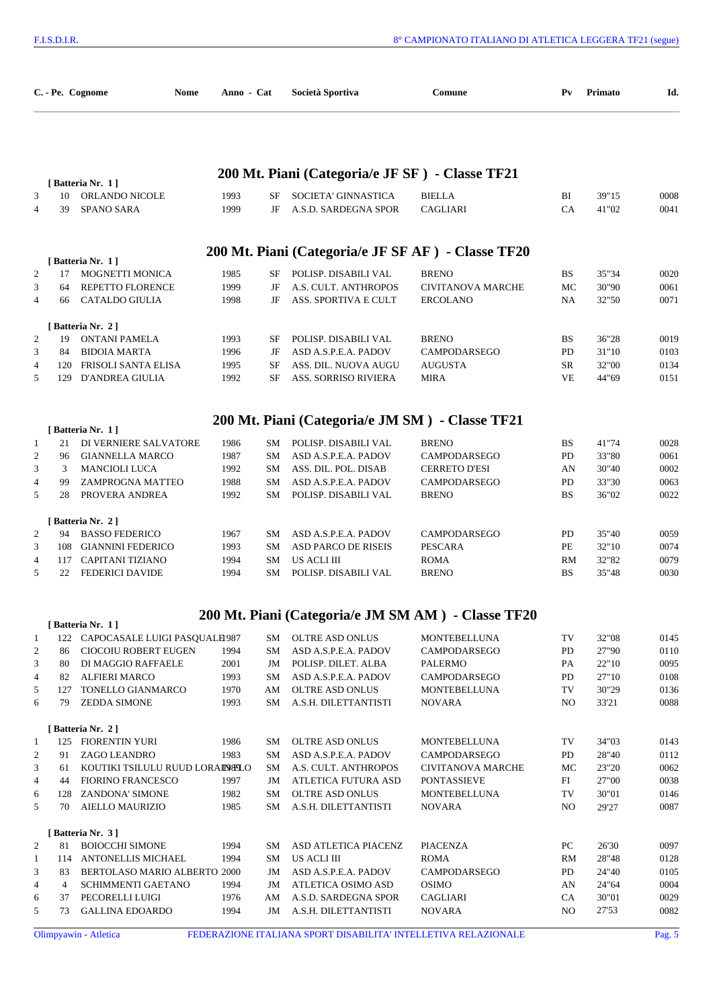|                     |           | C. - Pe. Cognome<br>Nome                                | Anno - Cat   |           | Società Sportiva                                   | Comune                                             | $P_{V}$   | Primato        | Id.          |
|---------------------|-----------|---------------------------------------------------------|--------------|-----------|----------------------------------------------------|----------------------------------------------------|-----------|----------------|--------------|
|                     |           |                                                         |              |           | 200 Mt. Piani (Categoria/e JF SF) - Classe TF21    |                                                    |           |                |              |
| 3<br>$\overline{4}$ | 10<br>39  | [Batteria Nr. 1]<br>ORLANDO NICOLE<br><b>SPANO SARA</b> | 1993<br>1999 | SF<br>JF  | SOCIETA' GINNASTICA<br>A.S.D. SARDEGNA SPOR        | <b>BIELLA</b><br><b>CAGLIARI</b>                   | BI<br>CA  | 39"15<br>41"02 | 0008<br>0041 |
|                     |           |                                                         |              |           | 200 Mt. Piani (Categoria/e JF SF AF) - Classe TF20 |                                                    |           |                |              |
| 2                   | 17        | [Batteria Nr. 1]<br>MOGNETTI MONICA                     | 1985         | SF        | POLISP. DISABILI VAL                               | <b>BRENO</b>                                       | BS.       | 35"34          | 0020         |
| 3                   | 64        | REPETTO FLORENCE                                        | 1999         | JF        | A.S. CULT. ANTHROPOS                               | <b>CIVITANOVA MARCHE</b>                           | МC        | 30"90          | 0061         |
| $\overline{4}$      | 66        | <b>CATALDO GIULIA</b>                                   | 1998         | JF        | ASS. SPORTIVA E CULT                               | <b>ERCOLANO</b>                                    | NA.       | 32"50          | 0071         |
|                     |           | [Batteria Nr. 2]                                        |              |           |                                                    |                                                    |           |                |              |
| 2                   | 19        | ONTANI PAMELA                                           | 1993         | SF        | POLISP. DISABILI VAL                               | <b>BRENO</b>                                       | <b>BS</b> | 36"28          | 0019         |
| 3                   | 84        | <b>BIDOIA MARTA</b>                                     | 1996         | JF        | ASD A.S.P.E.A. PADOV                               | CAMPODARSEGO                                       | PD        | 31"10          | 0103         |
| 4                   | 120       | FRISOLI SANTA ELISA                                     | 1995         | SF        | ASS. DIL. NUOVA AUGU                               | <b>AUGUSTA</b>                                     | SR        | 32"00          | 0134         |
| 5                   | 129       | <b>D'ANDREA GIULIA</b>                                  | 1992         | <b>SF</b> | <b>ASS. SORRISO RIVIERA</b>                        | <b>MIRA</b>                                        | <b>VE</b> | 44"69          | 0151         |
|                     |           |                                                         |              |           | 200 Mt. Piani (Categoria/e JM SM) - Classe TF21    |                                                    |           |                |              |
|                     |           | [Batteria Nr. 1]                                        |              |           |                                                    |                                                    |           |                |              |
| 1                   | 21        | DI VERNIERE SALVATORE                                   | 1986         | SM        | POLISP. DISABILI VAL                               | <b>BRENO</b>                                       | BS        | 41"74          | 0028         |
| $\overline{c}$<br>3 | 96<br>3   | <b>GIANNELLA MARCO</b><br><b>MANCIOLI LUCA</b>          | 1987<br>1992 | SM<br>SM  | ASD A.S.P.E.A. PADOV<br>ASS. DIL. POL. DISAB       | CAMPODARSEGO<br><b>CERRETO D'ESI</b>               | PD<br>AN  | 33"80<br>30"40 | 0061<br>0002 |
| 4                   | 99        | ZAMPROGNA MATTEO                                        | 1988         | SM        | ASD A.S.P.E.A. PADOV                               | CAMPODARSEGO                                       | PD        | 33"30          | 0063         |
| 5                   | 28        | PROVERA ANDREA                                          | 1992         | SM        | POLISP. DISABILI VAL                               | <b>BRENO</b>                                       | <b>BS</b> | 36"02          | 0022         |
|                     |           | [Batteria Nr. 2]                                        |              |           |                                                    |                                                    |           |                |              |
| 2                   | 94        | <b>BASSO FEDERICO</b>                                   | 1967         | SM        | ASD A.S.P.E.A. PADOV                               | <b>CAMPODARSEGO</b>                                | PD        | 35"40          | 0059         |
| 3                   |           | 108 GIANNINI FEDERICO                                   | 1993         | SM        | ASD PARCO DE RISEIS                                | <b>PESCARA</b>                                     | PE        | 32"10          | 0074         |
| 4                   | 117       | <b>CAPITANI TIZIANO</b>                                 | 1994         | SМ        | US ACLI III                                        | <b>ROMA</b>                                        | RM        | 32"82          | 0079         |
| 5                   | 22        | <b>FEDERICI DAVIDE</b>                                  | 1994         | SM        | POLISP. DISABILI VAL                               | <b>BRENO</b>                                       | BS        | 35"48          | 0030         |
|                     |           |                                                         |              |           |                                                    | 200 Mt. Piani (Categoria/e JM SM AM) - Classe TF20 |           |                |              |
|                     |           | [Batteria Nr. 1]                                        |              |           |                                                    |                                                    |           |                |              |
| $\mathbf{1}$        | 122       | CAPOCASALE LUIGI PASQUALE 987                           |              |           | SM OLTRE ASD ONLUS                                 | <b>MONTEBELLUNA</b>                                | TV        | 32"08          | 0145         |
| $\overline{2}$      | 86        | CIOCOIU ROBERT EUGEN                                    | 1994         | SM        | ASD A.S.P.E.A. PADOV                               | CAMPODARSEGO                                       | PD        | 27"90          | 0110         |
| 3                   | 80        | DI MAGGIO RAFFAELE                                      | 2001         | JM        | POLISP. DILET. ALBA                                | <b>PALERMO</b>                                     | PA        | 22"10          | 0095         |
| 4<br>5              | 82<br>127 | <b>ALFIERI MARCO</b><br>TONELLO GIANMARCO               | 1993<br>1970 | SM<br>AM  | ASD A.S.P.E.A. PADOV<br>OLTRE ASD ONLUS            | CAMPODARSEGO<br>MONTEBELLUNA                       | PD<br>TV  | 27"10<br>30"29 | 0108<br>0136 |
| 6                   | 79        | <b>ZEDDA SIMONE</b>                                     | 1993         | SM        | A.S.H. DILETTANTISTI                               | <b>NOVARA</b>                                      | NO.       | 33'21          | 0088         |
|                     |           | [Batteria Nr. 2]                                        |              |           |                                                    |                                                    |           |                |              |
| $\mathbf{1}$        |           | 125 FIORENTIN YURI                                      | 1986         | SM        | OLTRE ASD ONLUS                                    | MONTEBELLUNA                                       | TV        | 34"03          | 0143         |
| $\overline{2}$      | 91        | ZAGO LEANDRO                                            | 1983         | SM        | ASD A.S.P.E.A. PADOV                               | CAMPODARSEGO                                       | PD        | 28"40          | 0112         |
| 3                   | 61        | KOUTIKI TSILULU RUUD LORAIN SLO                         |              | SМ        | A.S. CULT. ANTHROPOS                               | <b>CIVITANOVA MARCHE</b>                           | МC        | 23"20          | 0062         |
| 4                   | 44        | <b>FIORINO FRANCESCO</b>                                | 1997         | JM        | ATLETICA FUTURA ASD                                | PONTASSIEVE                                        | FI        | 27"00          | 0038         |
| 6                   | 128       | <b>ZANDONA' SIMONE</b>                                  | 1982         | SM        | OLTRE ASD ONLUS                                    | MONTEBELLUNA                                       | TV        | 30"01          | 0146         |
| 5                   | 70        | AIELLO MAURIZIO                                         | 1985         | SM        | A.S.H. DILETTANTISTI                               | <b>NOVARA</b>                                      | NO.       | 29'27          | 0087         |
|                     |           | [Batteria Nr. 3]                                        |              |           |                                                    |                                                    |           |                |              |
| $\overline{2}$      | 81        | <b>BOIOCCHI SIMONE</b>                                  | 1994         | SM        | ASD ATLETICA PIACENZ                               | PIACENZA                                           | PС        | 26'30          | 0097         |
| 1                   | 114       | ANTONELLIS MICHAEL                                      | 1994         | SM        | US ACLI III                                        | <b>ROMA</b>                                        | RM        | 28"48          | 0128         |
| 3                   | 83        | BERTOLASO MARIO ALBERTO 2000                            |              | JM        | ASD A.S.P.E.A. PADOV                               | CAMPODARSEGO                                       | PD        | 24"40          | 0105         |
| 4                   | 4<br>37   | SCHIMMENTI GAETANO                                      | 1994         | JM        | ATLETICA OSIMO ASD                                 | <b>OSIMO</b>                                       | AN        | 24"64          | 0004<br>0029 |
| 6<br>5              | 73        | PECORELLI LUIGI<br><b>GALLINA EDOARDO</b>               | 1976<br>1994 | AM<br>JM  | A.S.D. SARDEGNA SPOR<br>A.S.H. DILETTANTISTI       | CAGLIARI<br><b>NOVARA</b>                          | CA<br>NO. | 30"01<br>27'53 | 0082         |
|                     |           |                                                         |              |           |                                                    |                                                    |           |                |              |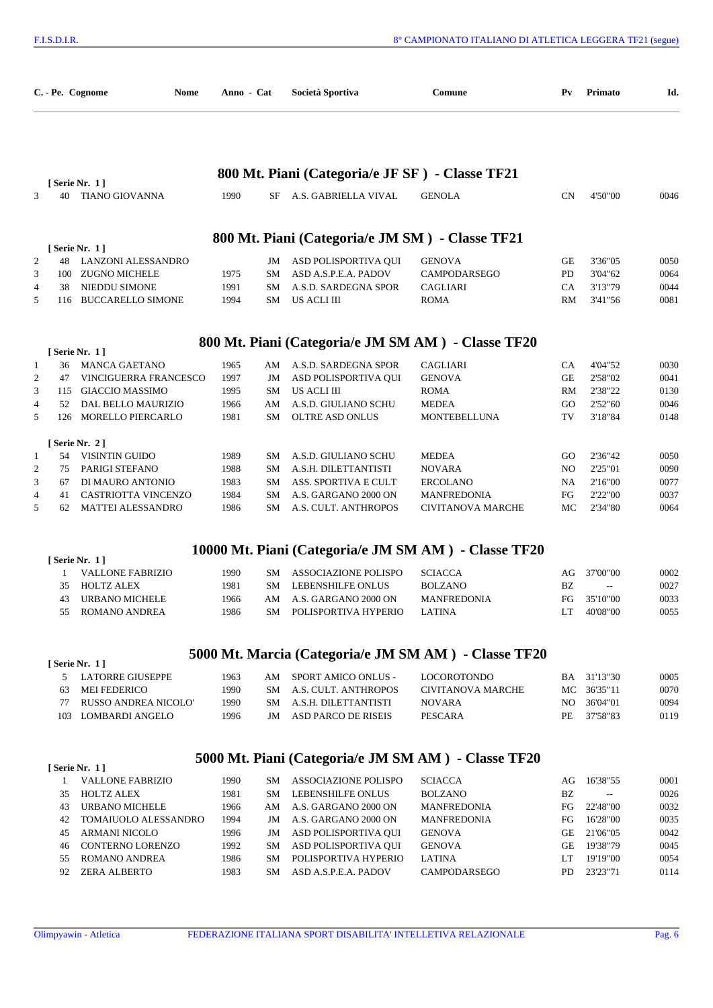|                     |          | C. - Pe. Cognome<br>Nome                         | Anno - Cat   |          | Società Sportiva                                | Comune                                               | $P_{V}$              | Primato                  | Id.          |
|---------------------|----------|--------------------------------------------------|--------------|----------|-------------------------------------------------|------------------------------------------------------|----------------------|--------------------------|--------------|
|                     |          |                                                  |              |          | 800 Mt. Piani (Categoria/e JF SF) - Classe TF21 |                                                      |                      |                          |              |
| 3                   | 40       | [ Serie Nr. 1 ]<br><b>TIANO GIOVANNA</b>         | 1990         | SF       | A.S. GABRIELLA VIVAL                            | <b>GENOLA</b>                                        | <b>CN</b>            | 4'50"00                  | 0046         |
|                     |          |                                                  |              |          | 800 Mt. Piani (Categoria/e JM SM) - Classe TF21 |                                                      |                      |                          |              |
|                     |          | [ Serie Nr. 1 ]                                  |              |          |                                                 |                                                      |                      |                          |              |
| $\overline{c}$      | 48       | LANZONI ALESSANDRO                               |              | JM       | ASD POLISPORTIVA QUI                            | <b>GENOVA</b>                                        | GE                   | 3'36"05                  | 0050         |
| 3                   | 100      | ZUGNO MICHELE                                    | 1975         | SM       | ASD A.S.P.E.A. PADOV                            | CAMPODARSEGO                                         | PD                   | 3'04"62                  | 0064         |
| 4                   | 38       | NIEDDU SIMONE                                    | 1991         | SM       | A.S.D. SARDEGNA SPOR                            | <b>CAGLIARI</b>                                      | CA                   | 3'13"79                  | 0044         |
| 5                   | 116      | <b>BUCCARELLO SIMONE</b>                         | 1994         | SM       | US ACLI III                                     | <b>ROMA</b>                                          | RM                   | 3'41"56                  | 0081         |
|                     |          |                                                  |              |          |                                                 | 800 Mt. Piani (Categoria/e JM SM AM) - Classe TF20   |                      |                          |              |
|                     |          | [ Serie Nr. 1 ]                                  |              |          |                                                 |                                                      |                      |                          |              |
| 1                   | 36       | <b>MANCA GAETANO</b>                             | 1965         | AM       | A.S.D. SARDEGNA SPOR                            | <b>CAGLIARI</b>                                      | CA                   | 4'04"52                  | 0030         |
| $\overline{c}$      | 47       | VINCIGUERRA FRANCESCO                            | 1997         | JM       | ASD POLISPORTIVA QUI                            | <b>GENOVA</b>                                        | GЕ                   | 2'58"02                  | 0041         |
| 3<br>4              | 52       | 115 GIACCIO MASSIMO<br><b>DAL BELLO MAURIZIO</b> | 1995<br>1966 | SМ<br>AM | US ACLI III<br>A.S.D. GIULIANO SCHU             | <b>ROMA</b><br><b>MEDEA</b>                          | RM<br>GO             | 2'38"22<br>2'52"60       | 0130<br>0046 |
| 5                   |          | 126 MORELLO PIERCARLO                            | 1981         | SM.      | <b>OLTRE ASD ONLUS</b>                          | MONTEBELLUNA                                         | TV                   | 3'18"84                  | 0148         |
|                     |          |                                                  |              |          |                                                 |                                                      |                      |                          |              |
|                     |          | [Serie Nr. 2]                                    |              |          |                                                 |                                                      |                      |                          |              |
| 1<br>$\overline{c}$ | 54<br>75 | VISINTIN GUIDO<br>PARIGI STEFANO                 | 1989<br>1988 | SM<br>SM | A.S.D. GIULIANO SCHU<br>A.S.H. DILETTANTISTI    | <b>MEDEA</b><br><b>NOVARA</b>                        | GO<br>N <sub>O</sub> | 2'36"42<br>2'25"01       | 0050<br>0090 |
| 3                   | 67       | DI MAURO ANTONIO                                 | 1983         | SM       | ASS. SPORTIVA E CULT                            | <b>ERCOLANO</b>                                      | NA                   | 2'16"00                  | 0077         |
| 4                   | 41       | CASTRIOTTA VINCENZO                              | 1984         | SМ       | A.S. GARGANO 2000 ON                            | MANFREDONIA                                          | FG                   | 2'22"00                  | 0037         |
| 5                   | 62       | <b>MATTEI ALESSANDRO</b>                         | 1986         | SM       | A.S. CULT. ANTHROPOS                            | <b>CIVITANOVA MARCHE</b>                             | MC                   | 2'34"80                  | 0064         |
|                     |          |                                                  |              |          |                                                 |                                                      |                      |                          |              |
|                     |          |                                                  |              |          |                                                 | 10000 Mt. Piani (Categoria/e JM SM AM) - Classe TF20 |                      |                          |              |
|                     |          | [ Serie Nr. 1 ]                                  |              |          |                                                 |                                                      |                      | 37'00"00                 | 0002         |
|                     | 1<br>35  | <b>VALLONE FABRIZIO</b><br><b>HOLTZ ALEX</b>     | 1990<br>1981 | SМ<br>SM | ASSOCIAZIONE POLISPO<br>LEBENSHILFE ONLUS       | <b>SCIACCA</b><br><b>BOLZANO</b>                     | AG<br>BZ             | $\overline{a}$           | 0027         |
|                     | 43       | URBANO MICHELE                                   | 1966         | AM       | A.S. GARGANO 2000 ON                            | MANFREDONIA                                          | FG                   | 35'10"00                 | 0033         |
|                     | 55       | ROMANO ANDREA                                    | 1986         | SM       | POLISPORTIVA HYPERIO                            | <b>LATINA</b>                                        | LT                   | 40'08"00                 | 0055         |
|                     |          |                                                  |              |          |                                                 |                                                      |                      |                          |              |
|                     |          | [ Serie Nr. 1 ]                                  |              |          |                                                 | 5000 Mt. Marcia (Categoria/e JM SM AM) - Classe TF20 |                      |                          |              |
|                     | 5        | <b>LATORRE GIUSEPPE</b>                          | 1963         | AM       | SPORT AMICO ONLUS -                             | <b>LOCOROTONDO</b>                                   |                      | BA 31'13"30              | 0005         |
|                     | 63       | MEI FEDERICO                                     | 1990         | SM       | A.S. CULT. ANTHROPOS                            | <b>CIVITANOVA MARCHE</b>                             |                      | MC 36'35"11              | 0070         |
|                     | 77       | RUSSO ANDREA NICOLO'                             | 1990         | SM       | A.S.H. DILETTANTISTI                            | <b>NOVARA</b>                                        | NO.                  | 36'04"01                 | 0094         |
|                     |          | 103 LOMBARDI ANGELO                              | 1996         | JM       | ASD PARCO DE RISEIS                             | PESCARA                                              | PE                   | 37'58"83                 | 0119         |
|                     |          |                                                  |              |          |                                                 |                                                      |                      |                          |              |
|                     |          | [ Serie Nr. 1 ]                                  |              |          |                                                 | 5000 Mt. Piani (Categoria/e JM SM AM) - Classe TF20  |                      |                          |              |
|                     | 1        | <b>VALLONE FABRIZIO</b>                          | 1990         | SM       | ASSOCIAZIONE POLISPO                            | <b>SCIACCA</b>                                       | AG                   | 16'38"55                 | 0001         |
|                     | 35       | <b>HOLTZ ALEX</b>                                | 1981         | SM       | LEBENSHILFE ONLUS                               | <b>BOLZANO</b>                                       | BZ                   | $\overline{\phantom{a}}$ | 0026         |
|                     | 43       | URBANO MICHELE                                   | 1966         | AM       | A.S. GARGANO 2000 ON                            | MANFREDONIA                                          | FG                   | 22'48"00                 | 0032         |
|                     | 42       | TOMAIUOLO ALESSANDRO                             | 1994         | JM       | A.S. GARGANO 2000 ON                            | MANFREDONIA                                          | FG                   | 16'28"00                 | 0035         |
|                     | 45       | <b>ARMANI NICOLO</b>                             | 1996         | JM       | ASD POLISPORTIVA QUI                            | <b>GENOVA</b>                                        | GE                   | 21'06"05                 | 0042         |
|                     | 46       | CONTERNO LORENZO                                 | 1992         | SM       | ASD POLISPORTIVA QUI                            | <b>GENOVA</b>                                        | GE                   | 19'38"79                 | 0045         |
|                     | 55       | ROMANO ANDREA                                    | 1986         | SM       | POLISPORTIVA HYPERIO                            | LATINA                                               | LT                   | 19'19"00                 | 0054         |
|                     | 92       | <b>ZERA ALBERTO</b>                              | 1983         | SM       | ASD A.S.P.E.A. PADOV                            | CAMPODARSEGO                                         | PD                   | 23'23"71                 | 0114         |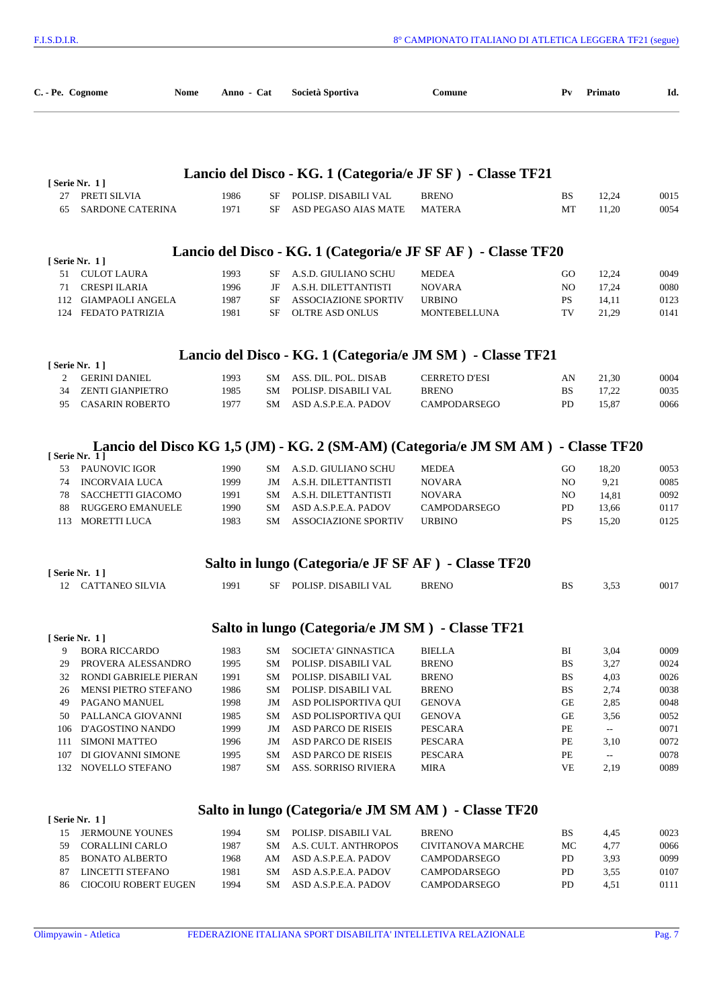| C. - Pe. Cognome                                              | Nome | Anno - Cat   |                 | Società Sportiva                                 | Comune                                                                            | $P_{V}$               | Primato                           | Id.          |
|---------------------------------------------------------------|------|--------------|-----------------|--------------------------------------------------|-----------------------------------------------------------------------------------|-----------------------|-----------------------------------|--------------|
|                                                               |      |              |                 |                                                  | Lancio del Disco - KG. 1 (Categoria/e JF SF) - Classe TF21                        |                       |                                   |              |
| [ Serie Nr. 1 ]                                               |      |              |                 |                                                  |                                                                                   |                       |                                   |              |
| 27<br>PRETI SILVIA<br>SARDONE CATERINA<br>65                  |      | 1986<br>1971 | SF<br>SF        | POLISP. DISABILI VAL<br>ASD PEGASO AIAS MATE     | <b>BRENO</b><br><b>MATERA</b>                                                     | <b>BS</b><br>MT       | 12,24<br>11,20                    | 0015<br>0054 |
|                                                               |      |              |                 |                                                  | Lancio del Disco - KG. 1 (Categoria/e JF SF AF) - Classe TF20                     |                       |                                   |              |
| [Serie Nr. 1]                                                 |      |              |                 |                                                  |                                                                                   |                       |                                   |              |
| 51 CULOT LAURA<br><b>CRESPI ILARIA</b><br>71                  |      | 1993<br>1996 | SF<br>JF        | A.S.D. GIULIANO SCHU<br>A.S.H. DILETTANTISTI     | <b>MEDEA</b><br><b>NOVARA</b>                                                     | GO.<br>N <sub>O</sub> | 12,24<br>17,24                    | 0049<br>0080 |
| 112 GIAMPAOLI ANGELA                                          |      | 1987         | SF              | <b>ASSOCIAZIONE SPORTIV</b>                      | <b>URBINO</b>                                                                     | <b>PS</b>             | 14,11                             | 0123         |
| FEDATO PATRIZIA<br>124                                        |      | 1981         | SF              | OLTRE ASD ONLUS                                  | <b>MONTEBELLUNA</b>                                                               | TV                    | 21,29                             | 0141         |
|                                                               |      |              |                 |                                                  | Lancio del Disco - KG. 1 (Categoria/e JM SM) - Classe TF21                        |                       |                                   |              |
| [Serie Nr. 1]                                                 |      |              |                 |                                                  |                                                                                   |                       |                                   |              |
| <b>GERINI DANIEL</b><br>2                                     |      | 1993         | SM              | ASS. DIL. POL. DISAB                             | <b>CERRETO D'ESI</b>                                                              | AN                    | 21,30                             | 0004         |
| <b>ZENTI GIANPIETRO</b><br>34<br><b>CASARIN ROBERTO</b><br>95 |      | 1985<br>1977 | <b>SM</b><br>SM | POLISP. DISABILI VAL<br>ASD A.S.P.E.A. PADOV     | <b>BRENO</b><br><b>CAMPODARSEGO</b>                                               | <b>BS</b><br>PD       | 17,22<br>15,87                    | 0035<br>0066 |
|                                                               |      |              |                 |                                                  |                                                                                   |                       |                                   |              |
| [ Serie Nr. $1$ ]                                             |      |              |                 |                                                  | Lancio del Disco KG 1,5 (JM) - KG. 2 (SM-AM) (Categoria/e JM SM AM) - Classe TF20 |                       |                                   |              |
| <b>PAUNOVIC IGOR</b><br>53                                    |      | 1990         | SM              | A.S.D. GIULIANO SCHU                             | <b>MEDEA</b>                                                                      | GO.                   | 18,20                             | 0053         |
| 74<br><b>INCORVAIA LUCA</b>                                   |      | 1999         | JM              | A.S.H. DILETTANTISTI                             | <b>NOVARA</b>                                                                     | NO.                   | 9,21                              | 0085         |
| 78<br>SACCHETTI GIACOMO                                       |      | 1991         | SM              | A.S.H. DILETTANTISTI                             | <b>NOVARA</b>                                                                     | NO.                   | 14,81                             | 0092         |
| RUGGERO EMANUELE<br>88                                        |      | 1990         | SM              | ASD A.S.P.E.A. PADOV                             | <b>CAMPODARSEGO</b>                                                               | PD                    | 13,66                             | 0117         |
| MORETTI LUCA<br>113                                           |      | 1983         | SM              | <b>ASSOCIAZIONE SPORTIV</b>                      | <b>URBINO</b>                                                                     | PS.                   | 15,20                             | 0125         |
|                                                               |      |              |                 |                                                  | Salto in lungo (Categoria/e JF SF AF) - Classe TF20                               |                       |                                   |              |
| [Serie Nr. 1]<br><b>CATTANEO SILVIA</b><br>12                 |      | 1991         | SF              | POLISP. DISABILI VAL                             | <b>BRENO</b>                                                                      | BS                    | 3,53                              | 0017         |
|                                                               |      |              |                 |                                                  |                                                                                   |                       |                                   |              |
| [ Serie Nr. 1 ]                                               |      |              |                 | Salto in lungo (Categoria/e JM SM) - Classe TF21 |                                                                                   |                       |                                   |              |
| 9<br><b>BORA RICCARDO</b>                                     |      | 1983         | SM              | SOCIETA' GINNASTICA                              | <b>BIELLA</b>                                                                     | BI                    | 3,04                              | 0009         |
| 29<br>PROVERA ALESSANDRO                                      |      | 1995         | SM              | POLISP. DISABILI VAL                             | <b>BRENO</b>                                                                      | <b>BS</b>             | 3,27                              | 0024         |
| 32<br>RONDI GABRIELE PIERAN                                   |      | 1991         | SM              | POLISP. DISABILI VAL                             | <b>BRENO</b>                                                                      | <b>BS</b>             | 4,03                              | 0026         |
| MENSI PIETRO STEFANO<br>26                                    |      | 1986         | SM              | POLISP. DISABILI VAL                             | <b>BRENO</b>                                                                      | <b>BS</b>             | 2,74                              | 0038         |
| 49<br>PAGANO MANUEL                                           |      | 1998         | JM              | ASD POLISPORTIVA QUI                             | <b>GENOVA</b>                                                                     | GE                    | 2,85                              | 0048         |
| PALLANCA GIOVANNI<br>50                                       |      | 1985         | SM              | ASD POLISPORTIVA QUI                             | <b>GENOVA</b>                                                                     | GE                    | 3,56                              | 0052         |
| D'AGOSTINO NANDO<br>106                                       |      | 1999         | JM              | ASD PARCO DE RISEIS                              | <b>PESCARA</b>                                                                    | PE                    | $\overline{\phantom{a}}$          | 0071         |
| <b>SIMONI MATTEO</b><br>111<br>107                            |      | 1996         | JM<br>SM        | ASD PARCO DE RISEIS                              | PESCARA<br><b>PESCARA</b>                                                         | $\rm PE$<br>PE        | 3,10                              | 0072<br>0078 |
| DI GIOVANNI SIMONE<br>132<br>NOVELLO STEFANO                  |      | 1995<br>1987 | SM              | ASD PARCO DE RISEIS<br>ASS. SORRISO RIVIERA      | <b>MIRA</b>                                                                       | VE                    | $\mathbb{H}^{\mathbb{H}}$<br>2,19 | 0089         |
|                                                               |      |              |                 |                                                  |                                                                                   |                       |                                   |              |
| [ Serie Nr. 1 ]                                               |      |              |                 |                                                  | Salto in lungo (Categoria/e JM SM AM) - Classe TF20                               |                       |                                   |              |
| JERMOUNE YOUNES<br>15                                         |      | 1994         | SM              | POLISP. DISABILI VAL                             | <b>BRENO</b>                                                                      | <b>BS</b>             | 4,45                              | 0023         |
|                                                               |      | 1987         | SM              | A.S. CULT. ANTHROPOS                             | <b>CIVITANOVA MARCHE</b>                                                          | МC                    | 4,77                              | 0066         |
| 59<br>CORALLINI CARLO                                         |      |              |                 |                                                  |                                                                                   |                       |                                   | 0099         |
| <b>BONATO ALBERTO</b><br>85                                   |      | 1968         | AM              | ASD A.S.P.E.A. PADOV                             | CAMPODARSEGO                                                                      | PD                    | 3,93                              |              |
| LINCETTI STEFANO<br>87<br>CIOCOIU ROBERT EUGEN<br>86          |      | 1981<br>1994 | SM<br>SM.       | ASD A.S.P.E.A. PADOV<br>ASD A.S.P.E.A. PADOV     | CAMPODARSEGO<br>CAMPODARSEGO                                                      | PD<br>PD              | 3,55<br>4,51                      | 0107<br>0111 |